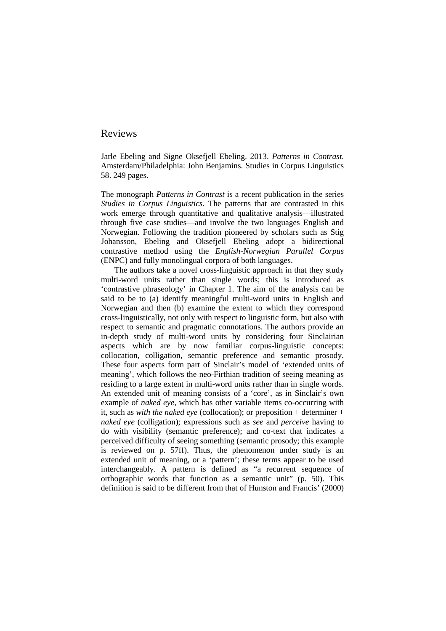Jarle Ebeling and Signe Oksefjell Ebeling. 2013. *Patterns in Contrast*. Amsterdam/Philadelphia: John Benjamins. Studies in Corpus Linguistics 58. 249 pages.

The monograph *Patterns in Contrast* is a recent publication in the series *Studies in Corpus Linguistics*. The patterns that are contrasted in this work emerge through quantitative and qualitative analysis—illustrated through five case studies—and involve the two languages English and Norwegian. Following the tradition pioneered by scholars such as Stig Johansson, Ebeling and Oksefjell Ebeling adopt a bidirectional contrastive method using the *English-Norwegian Parallel Corpus* (ENPC) and fully monolingual corpora of both languages.

The authors take a novel cross-linguistic approach in that they study multi-word units rather than single words; this is introduced as 'contrastive phraseology' in Chapter 1. The aim of the analysis can be said to be to (a) identify meaningful multi-word units in English and Norwegian and then (b) examine the extent to which they correspond cross-linguistically, not only with respect to linguistic form, but also with respect to semantic and pragmatic connotations. The authors provide an in-depth study of multi-word units by considering four Sinclairian aspects which are by now familiar corpus-linguistic concepts: collocation, colligation, semantic preference and semantic prosody. These four aspects form part of Sinclair's model of 'extended units of meaning', which follows the neo-Firthian tradition of seeing meaning as residing to a large extent in multi-word units rather than in single words. An extended unit of meaning consists of a 'core', as in Sinclair's own example of *naked eye*, which has other variable items co-occurring with it, such as *with the naked eye* (collocation); or preposition + determiner + *naked eye* (colligation); expressions such as *see* and *perceive* having to do with visibility (semantic preference); and co-text that indicates a perceived difficulty of seeing something (semantic prosody; this example is reviewed on p. 57ff). Thus, the phenomenon under study is an extended unit of meaning, or a 'pattern'; these terms appear to be used interchangeably. A pattern is defined as "a recurrent sequence of orthographic words that function as a semantic unit" (p. 50). This definition is said to be different from that of Hunston and Francis' (2000)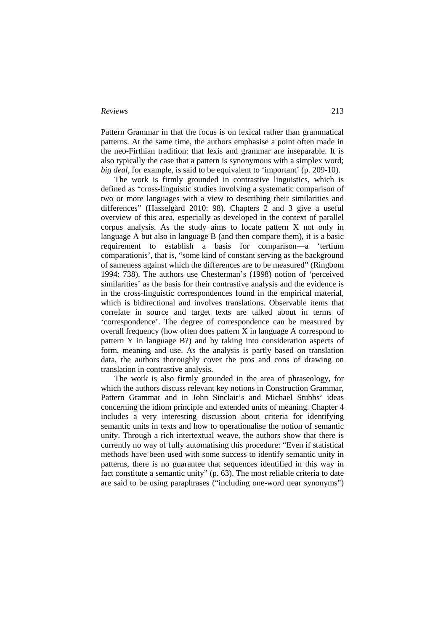Pattern Grammar in that the focus is on lexical rather than grammatical patterns. At the same time, the authors emphasise a point often made in the neo-Firthian tradition: that lexis and grammar are inseparable. It is also typically the case that a pattern is synonymous with a simplex word; *big deal*, for example, is said to be equivalent to 'important' (p. 209-10).

The work is firmly grounded in contrastive linguistics, which is defined as "cross-linguistic studies involving a systematic comparison of two or more languages with a view to describing their similarities and differences" (Hasselgård 2010: 98). Chapters 2 and 3 give a useful overview of this area, especially as developed in the context of parallel corpus analysis. As the study aims to locate pattern X not only in language A but also in language B (and then compare them), it is a basic requirement to establish a basis for comparison—a 'tertium comparationis', that is, "some kind of constant serving as the background of sameness against which the differences are to be measured" (Ringbom 1994: 738). The authors use Chesterman's (1998) notion of 'perceived similarities' as the basis for their contrastive analysis and the evidence is in the cross-linguistic correspondences found in the empirical material, which is bidirectional and involves translations. Observable items that correlate in source and target texts are talked about in terms of 'correspondence'. The degree of correspondence can be measured by overall frequency (how often does pattern X in language A correspond to pattern Y in language B?) and by taking into consideration aspects of form, meaning and use. As the analysis is partly based on translation data, the authors thoroughly cover the pros and cons of drawing on translation in contrastive analysis.

The work is also firmly grounded in the area of phraseology, for which the authors discuss relevant key notions in Construction Grammar, Pattern Grammar and in John Sinclair's and Michael Stubbs' ideas concerning the idiom principle and extended units of meaning. Chapter 4 includes a very interesting discussion about criteria for identifying semantic units in texts and how to operationalise the notion of semantic unity. Through a rich intertextual weave, the authors show that there is currently no way of fully automatising this procedure: "Even if statistical methods have been used with some success to identify semantic unity in patterns, there is no guarantee that sequences identified in this way in fact constitute a semantic unity" (p. 63). The most reliable criteria to date are said to be using paraphrases ("including one-word near synonyms")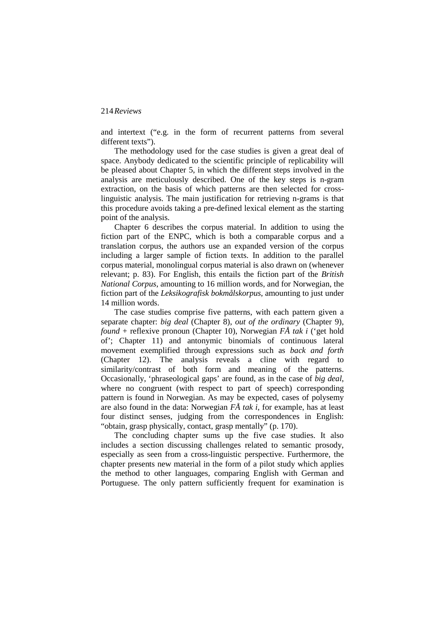and intertext ("e.g. in the form of recurrent patterns from several different texts").

The methodology used for the case studies is given a great deal of space. Anybody dedicated to the scientific principle of replicability will be pleased about Chapter 5, in which the different steps involved in the analysis are meticulously described. One of the key steps is n-gram extraction, on the basis of which patterns are then selected for crosslinguistic analysis. The main justification for retrieving n-grams is that this procedure avoids taking a pre-defined lexical element as the starting point of the analysis.

Chapter 6 describes the corpus material. In addition to using the fiction part of the ENPC, which is both a comparable corpus and a translation corpus, the authors use an expanded version of the corpus including a larger sample of fiction texts. In addition to the parallel corpus material, monolingual corpus material is also drawn on (whenever relevant; p. 83). For English, this entails the fiction part of the *British National Corpus*, amounting to 16 million words, and for Norwegian, the fiction part of the *Leksikografisk bokmålskorpus*, amounting to just under 14 million words.

The case studies comprise five patterns, with each pattern given a separate chapter: *big deal* (Chapter 8), *out of the ordinary* (Chapter 9), *found* + reflexive pronoun (Chapter 10), Norwegian *FÅ tak i* ('get hold of'; Chapter 11) and antonymic binomials of continuous lateral movement exemplified through expressions such as *back and forth* (Chapter 12). The analysis reveals a cline with regard to similarity/contrast of both form and meaning of the patterns. Occasionally, 'phraseological gaps' are found, as in the case of *big deal*, where no congruent (with respect to part of speech) corresponding pattern is found in Norwegian. As may be expected, cases of polysemy are also found in the data: Norwegian *FÅ tak i*, for example, has at least four distinct senses, judging from the correspondences in English: "obtain, grasp physically, contact, grasp mentally" (p. 170).

The concluding chapter sums up the five case studies. It also includes a section discussing challenges related to semantic prosody, especially as seen from a cross-linguistic perspective. Furthermore, the chapter presents new material in the form of a pilot study which applies the method to other languages, comparing English with German and Portuguese. The only pattern sufficiently frequent for examination is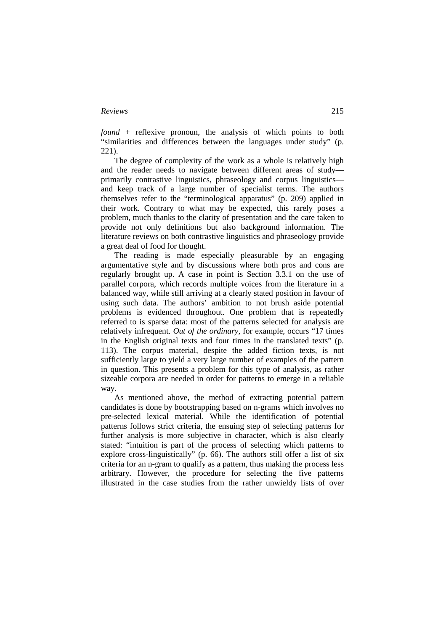*found* + reflexive pronoun, the analysis of which points to both "similarities and differences between the languages under study" (p. 221).

The degree of complexity of the work as a whole is relatively high and the reader needs to navigate between different areas of study primarily contrastive linguistics, phraseology and corpus linguistics and keep track of a large number of specialist terms. The authors themselves refer to the "terminological apparatus" (p. 209) applied in their work. Contrary to what may be expected, this rarely poses a problem, much thanks to the clarity of presentation and the care taken to provide not only definitions but also background information. The literature reviews on both contrastive linguistics and phraseology provide a great deal of food for thought.

The reading is made especially pleasurable by an engaging argumentative style and by discussions where both pros and cons are regularly brought up. A case in point is Section 3.3.1 on the use of parallel corpora, which records multiple voices from the literature in a balanced way, while still arriving at a clearly stated position in favour of using such data. The authors' ambition to not brush aside potential problems is evidenced throughout. One problem that is repeatedly referred to is sparse data: most of the patterns selected for analysis are relatively infrequent. *Out of the ordinary*, for example, occurs "17 times in the English original texts and four times in the translated texts" (p. 113). The corpus material, despite the added fiction texts, is not sufficiently large to yield a very large number of examples of the pattern in question. This presents a problem for this type of analysis, as rather sizeable corpora are needed in order for patterns to emerge in a reliable way.

As mentioned above, the method of extracting potential pattern candidates is done by bootstrapping based on n-grams which involves no pre-selected lexical material. While the identification of potential patterns follows strict criteria, the ensuing step of selecting patterns for further analysis is more subjective in character, which is also clearly stated: "intuition is part of the process of selecting which patterns to explore cross-linguistically" (p. 66). The authors still offer a list of six criteria for an n-gram to qualify as a pattern, thus making the process less arbitrary. However, the procedure for selecting the five patterns illustrated in the case studies from the rather unwieldy lists of over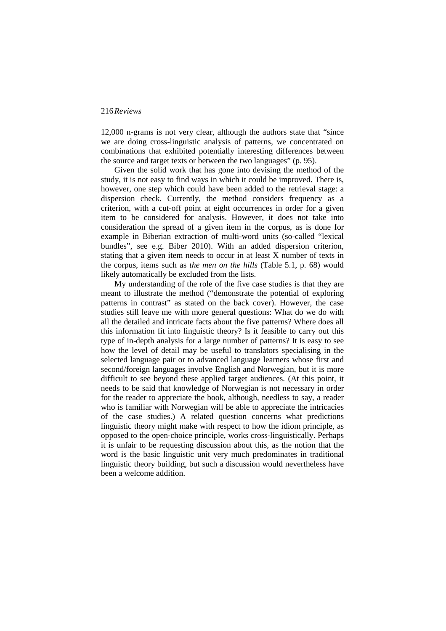12,000 n-grams is not very clear, although the authors state that "since we are doing cross-linguistic analysis of patterns, we concentrated on combinations that exhibited potentially interesting differences between the source and target texts or between the two languages" (p. 95).

Given the solid work that has gone into devising the method of the study, it is not easy to find ways in which it could be improved. There is, however, one step which could have been added to the retrieval stage: a dispersion check. Currently, the method considers frequency as a criterion, with a cut-off point at eight occurrences in order for a given item to be considered for analysis. However, it does not take into consideration the spread of a given item in the corpus, as is done for example in Biberian extraction of multi-word units (so-called "lexical bundles", see e.g. Biber 2010). With an added dispersion criterion, stating that a given item needs to occur in at least X number of texts in the corpus, items such as *the men on the hills* (Table 5.1, p. 68) would likely automatically be excluded from the lists.

My understanding of the role of the five case studies is that they are meant to illustrate the method ("demonstrate the potential of exploring patterns in contrast" as stated on the back cover). However, the case studies still leave me with more general questions: What do we do with all the detailed and intricate facts about the five patterns? Where does all this information fit into linguistic theory? Is it feasible to carry out this type of in-depth analysis for a large number of patterns? It is easy to see how the level of detail may be useful to translators specialising in the selected language pair or to advanced language learners whose first and second/foreign languages involve English and Norwegian, but it is more difficult to see beyond these applied target audiences. (At this point, it needs to be said that knowledge of Norwegian is not necessary in order for the reader to appreciate the book, although, needless to say, a reader who is familiar with Norwegian will be able to appreciate the intricacies of the case studies.) A related question concerns what predictions linguistic theory might make with respect to how the idiom principle, as opposed to the open-choice principle, works cross-linguistically. Perhaps it is unfair to be requesting discussion about this, as the notion that the word is the basic linguistic unit very much predominates in traditional linguistic theory building, but such a discussion would nevertheless have been a welcome addition.